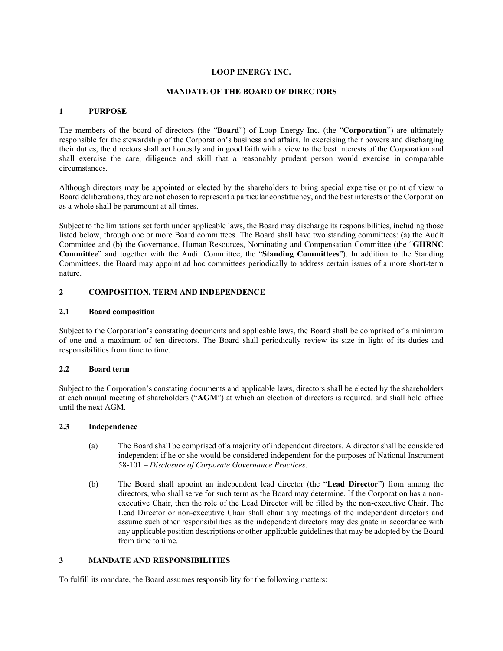# **LOOP ENERGY INC.**

### **MANDATE OF THE BOARD OF DIRECTORS**

## **1 PURPOSE**

The members of the board of directors (the "**Board**") of Loop Energy Inc. (the "**Corporation**") are ultimately responsible for the stewardship of the Corporation's business and affairs. In exercising their powers and discharging their duties, the directors shall act honestly and in good faith with a view to the best interests of the Corporation and shall exercise the care, diligence and skill that a reasonably prudent person would exercise in comparable circumstances.

Although directors may be appointed or elected by the shareholders to bring special expertise or point of view to Board deliberations, they are not chosen to represent a particular constituency, and the best interests of the Corporation as a whole shall be paramount at all times.

Subject to the limitations set forth under applicable laws, the Board may discharge its responsibilities, including those listed below, through one or more Board committees. The Board shall have two standing committees: (a) the Audit Committee and (b) the Governance, Human Resources, Nominating and Compensation Committee (the "**GHRNC Committee**" and together with the Audit Committee, the "**Standing Committees**"). In addition to the Standing Committees, the Board may appoint ad hoc committees periodically to address certain issues of a more short-term nature.

# **2 COMPOSITION, TERM AND INDEPENDENCE**

### **2.1 Board composition**

Subject to the Corporation's constating documents and applicable laws, the Board shall be comprised of a minimum of one and a maximum of ten directors. The Board shall periodically review its size in light of its duties and responsibilities from time to time.

### **2.2 Board term**

Subject to the Corporation's constating documents and applicable laws, directors shall be elected by the shareholders at each annual meeting of shareholders ("**AGM**") at which an election of directors is required, and shall hold office until the next AGM.

### **2.3 Independence**

- (a) The Board shall be comprised of a majority of independent directors. A director shall be considered independent if he or she would be considered independent for the purposes of National Instrument 58-101 – *Disclosure of Corporate Governance Practices*.
- (b) The Board shall appoint an independent lead director (the "**Lead Director**") from among the directors, who shall serve for such term as the Board may determine. If the Corporation has a nonexecutive Chair, then the role of the Lead Director will be filled by the non-executive Chair. The Lead Director or non-executive Chair shall chair any meetings of the independent directors and assume such other responsibilities as the independent directors may designate in accordance with any applicable position descriptions or other applicable guidelines that may be adopted by the Board from time to time.

## **3 MANDATE AND RESPONSIBILITIES**

To fulfill its mandate, the Board assumes responsibility for the following matters: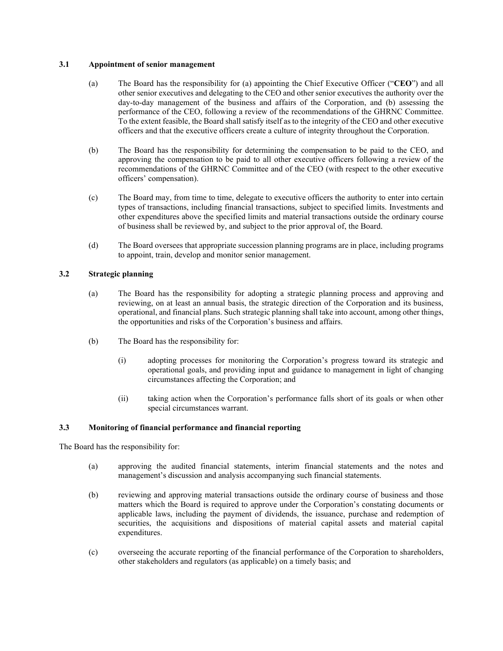# **3.1 Appointment of senior management**

- (a) The Board has the responsibility for (a) appointing the Chief Executive Officer ("**CEO**") and all other senior executives and delegating to the CEO and other senior executives the authority over the day-to-day management of the business and affairs of the Corporation, and (b) assessing the performance of the CEO, following a review of the recommendations of the GHRNC Committee. To the extent feasible, the Board shall satisfy itself as to the integrity of the CEO and other executive officers and that the executive officers create a culture of integrity throughout the Corporation.
- (b) The Board has the responsibility for determining the compensation to be paid to the CEO, and approving the compensation to be paid to all other executive officers following a review of the recommendations of the GHRNC Committee and of the CEO (with respect to the other executive officers' compensation).
- (c) The Board may, from time to time, delegate to executive officers the authority to enter into certain types of transactions, including financial transactions, subject to specified limits. Investments and other expenditures above the specified limits and material transactions outside the ordinary course of business shall be reviewed by, and subject to the prior approval of, the Board.
- (d) The Board oversees that appropriate succession planning programs are in place, including programs to appoint, train, develop and monitor senior management.

# **3.2 Strategic planning**

- (a) The Board has the responsibility for adopting a strategic planning process and approving and reviewing, on at least an annual basis, the strategic direction of the Corporation and its business, operational, and financial plans. Such strategic planning shall take into account, among other things, the opportunities and risks of the Corporation's business and affairs.
- (b) The Board has the responsibility for:
	- (i) adopting processes for monitoring the Corporation's progress toward its strategic and operational goals, and providing input and guidance to management in light of changing circumstances affecting the Corporation; and
	- (ii) taking action when the Corporation's performance falls short of its goals or when other special circumstances warrant.

# **3.3 Monitoring of financial performance and financial reporting**

The Board has the responsibility for:

- (a) approving the audited financial statements, interim financial statements and the notes and management's discussion and analysis accompanying such financial statements.
- (b) reviewing and approving material transactions outside the ordinary course of business and those matters which the Board is required to approve under the Corporation's constating documents or applicable laws, including the payment of dividends, the issuance, purchase and redemption of securities, the acquisitions and dispositions of material capital assets and material capital expenditures.
- (c) overseeing the accurate reporting of the financial performance of the Corporation to shareholders, other stakeholders and regulators (as applicable) on a timely basis; and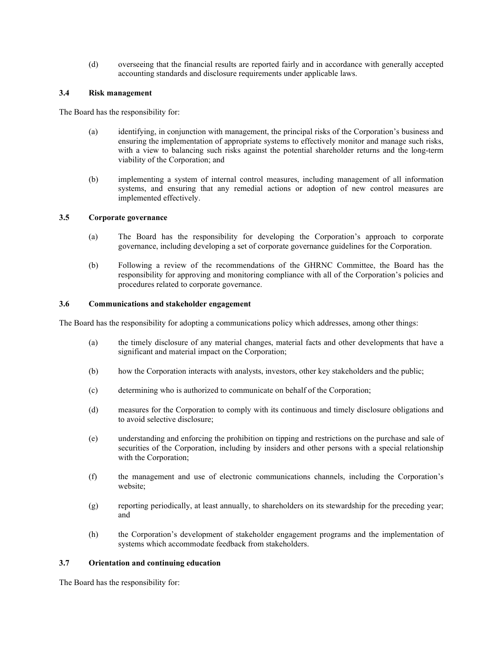(d) overseeing that the financial results are reported fairly and in accordance with generally accepted accounting standards and disclosure requirements under applicable laws.

## **3.4 Risk management**

The Board has the responsibility for:

- (a) identifying, in conjunction with management, the principal risks of the Corporation's business and ensuring the implementation of appropriate systems to effectively monitor and manage such risks, with a view to balancing such risks against the potential shareholder returns and the long-term viability of the Corporation; and
- (b) implementing a system of internal control measures, including management of all information systems, and ensuring that any remedial actions or adoption of new control measures are implemented effectively.

## **3.5 Corporate governance**

- (a) The Board has the responsibility for developing the Corporation's approach to corporate governance, including developing a set of corporate governance guidelines for the Corporation.
- (b) Following a review of the recommendations of the GHRNC Committee, the Board has the responsibility for approving and monitoring compliance with all of the Corporation's policies and procedures related to corporate governance.

### **3.6 Communications and stakeholder engagement**

The Board has the responsibility for adopting a communications policy which addresses, among other things:

- (a) the timely disclosure of any material changes, material facts and other developments that have a significant and material impact on the Corporation;
- (b) how the Corporation interacts with analysts, investors, other key stakeholders and the public;
- (c) determining who is authorized to communicate on behalf of the Corporation;
- (d) measures for the Corporation to comply with its continuous and timely disclosure obligations and to avoid selective disclosure;
- (e) understanding and enforcing the prohibition on tipping and restrictions on the purchase and sale of securities of the Corporation, including by insiders and other persons with a special relationship with the Corporation;
- (f) the management and use of electronic communications channels, including the Corporation's website;
- (g) reporting periodically, at least annually, to shareholders on its stewardship for the preceding year; and
- (h) the Corporation's development of stakeholder engagement programs and the implementation of systems which accommodate feedback from stakeholders.

# **3.7 Orientation and continuing education**

The Board has the responsibility for: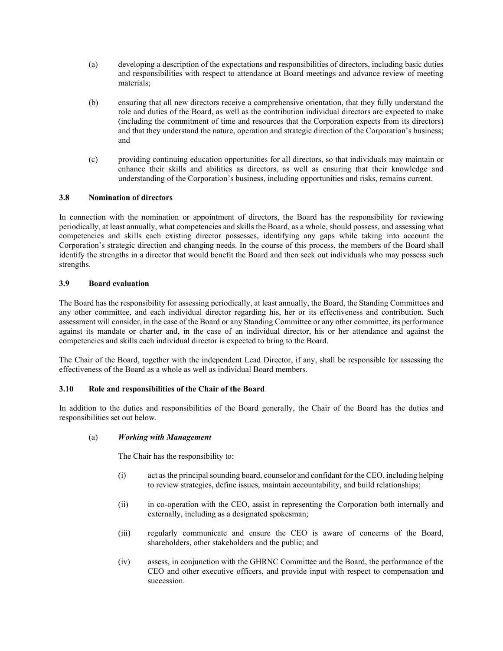- (a) developing a description of the expectations and responsibilities of directors, including basic duties and responsibilities with respect to attendance at Board meetings and advance review of meeting materials;
- (b) ensuring that all new directors receive a comprehensive orientation, that they fully understand the role and duties of the Board, as well as the contribution individual directors are expected to make (including the commitment of time and resources that the Corporation expects from its directors) and that they understand the nature, operation and strategic direction of the Corporation's business; and
- (c) providing continuing education opportunities for all directors, so that individuals may maintain or enhance their skills and abilities as directors, as well as ensuring that their knowledge and understanding of the Corporation's business, including opportunities and risks, remains current.

# **3.8 Nomination of directors**

In connection with the nomination or appointment of directors, the Board has the responsibility for reviewing periodically, at least annually, what competencies and skills the Board, as a whole, should possess, and assessing what competencies and skills each existing director possesses, identifying any gaps while taking into account the Corporation's strategic direction and changing needs. In the course of this process, the members of the Board shall identify the strengths in a director that would benefit the Board and then seek out individuals who may possess such strengths.

## **3.9 Board evaluation**

The Board has the responsibility for assessing periodically, at least annually, the Board, the Standing Committees and any other committee, and each individual director regarding his, her or its effectiveness and contribution. Such assessment will consider, in the case of the Board or any Standing Committee or any other committee, its performance against its mandate or charter and, in the case of an individual director, his or her attendance and against the competencies and skills each individual director is expected to bring to the Board.

The Chair of the Board, together with the independent Lead Director, if any, shall be responsible for assessing the effectiveness of the Board as a whole as well as individual Board members.

# **3.10 Role and responsibilities of the Chair of the Board**

In addition to the duties and responsibilities of the Board generally, the Chair of the Board has the duties and responsibilities set out below.

### (a) *Working with Management*

The Chair has the responsibility to:

- (i) act as the principal sounding board, counselor and confidant for the CEO, including helping to review strategies, define issues, maintain accountability, and build relationships;
- (ii) in co-operation with the CEO, assist in representing the Corporation both internally and externally, including as a designated spokesman;
- (iii) regularly communicate and ensure the CEO is aware of concerns of the Board, shareholders, other stakeholders and the public; and
- (iv) assess, in conjunction with the GHRNC Committee and the Board, the performance of the CEO and other executive officers, and provide input with respect to compensation and succession.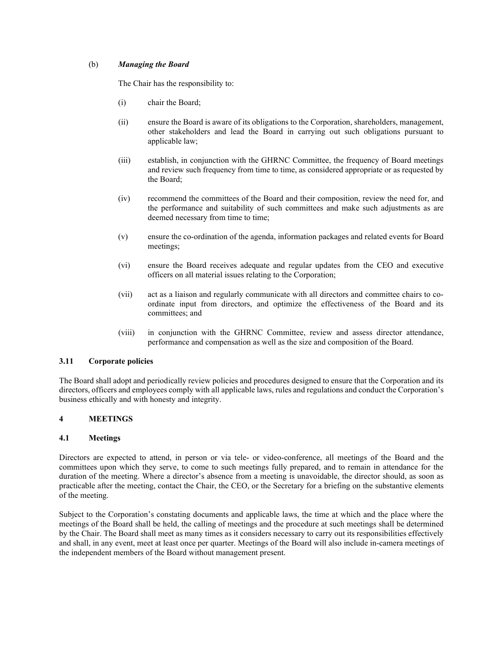# (b) *Managing the Board*

The Chair has the responsibility to:

- (i) chair the Board;
- (ii) ensure the Board is aware of its obligations to the Corporation, shareholders, management, other stakeholders and lead the Board in carrying out such obligations pursuant to applicable law;
- (iii) establish, in conjunction with the GHRNC Committee, the frequency of Board meetings and review such frequency from time to time, as considered appropriate or as requested by the Board;
- (iv) recommend the committees of the Board and their composition, review the need for, and the performance and suitability of such committees and make such adjustments as are deemed necessary from time to time;
- (v) ensure the co-ordination of the agenda, information packages and related events for Board meetings;
- (vi) ensure the Board receives adequate and regular updates from the CEO and executive officers on all material issues relating to the Corporation;
- (vii) act as a liaison and regularly communicate with all directors and committee chairs to coordinate input from directors, and optimize the effectiveness of the Board and its committees; and
- (viii) in conjunction with the GHRNC Committee, review and assess director attendance, performance and compensation as well as the size and composition of the Board.

# **3.11 Corporate policies**

The Board shall adopt and periodically review policies and procedures designed to ensure that the Corporation and its directors, officers and employees comply with all applicable laws, rules and regulations and conduct the Corporation's business ethically and with honesty and integrity.

# **4 MEETINGS**

# **4.1 Meetings**

Directors are expected to attend, in person or via tele- or video-conference, all meetings of the Board and the committees upon which they serve, to come to such meetings fully prepared, and to remain in attendance for the duration of the meeting. Where a director's absence from a meeting is unavoidable, the director should, as soon as practicable after the meeting, contact the Chair, the CEO, or the Secretary for a briefing on the substantive elements of the meeting.

Subject to the Corporation's constating documents and applicable laws, the time at which and the place where the meetings of the Board shall be held, the calling of meetings and the procedure at such meetings shall be determined by the Chair. The Board shall meet as many times as it considers necessary to carry out its responsibilities effectively and shall, in any event, meet at least once per quarter. Meetings of the Board will also include in-camera meetings of the independent members of the Board without management present.